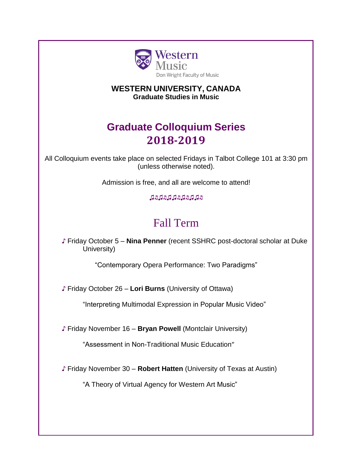

## **WESTERN UNIVERSITY, CANADA Graduate Studies in Music**

# **Graduate Colloquium Series 2018-2019**

All Colloquium events take place on selected Fridays in Talbot College 101 at 3:30 pm (unless otherwise noted).

Admission is free, and all are welcome to attend!

♫♬♫♬♫♫♬♫♬♫♫♬

# Fall Term

♪ Friday October 5 – **Nina Penner** (recent SSHRC post-doctoral scholar at Duke University)

"Contemporary Opera Performance: Two Paradigms"

♪ Friday October 26 – **Lori Burns** (University of Ottawa)

"Interpreting Multimodal Expression in Popular Music Video"

♪ Friday November 16 – **Bryan Powell** (Montclair University)

"Assessment in Non-Traditional Music Education"

♪ Friday November 30 – **Robert Hatten** (University of Texas at Austin)

"A Theory of Virtual Agency for Western Art Music"